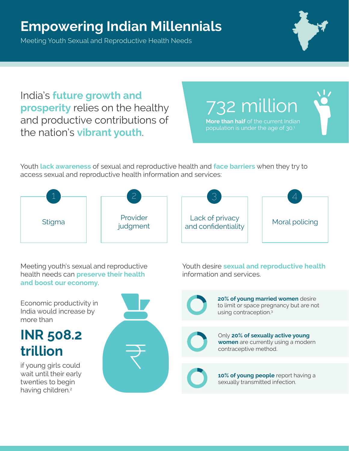## **Empowering Indian Millennials**

Meeting Youth Sexual and Reproductive Health Needs



India's **future growth and prosperity** relies on the healthy and productive contributions of the nation's **vibrant youth**.

**More than half** of the current Indian 732 million

population is under the age of 30.<sup>1</sup>

Youth **lack awareness** of sexual and reproductive health and **face barriers** when they try to access sexual and reproductive health information and services:



Meeting youth's sexual and reproductive health needs can **preserve their health and boost our economy**.

Youth desire **sexual and reproductive health** information and services.

**20% of young married women** desire to limit or space pregnancy but are not using contraception.3



Only **20% of sexually active young women** are currently using a modern contraceptive method.



**10% of young people** report having a sexually transmitted infection.

Economic productivity in India would increase by

## **INR 508.2 trillion**

more than

if young girls could wait until their early twenties to begin having children.<sup>2</sup>